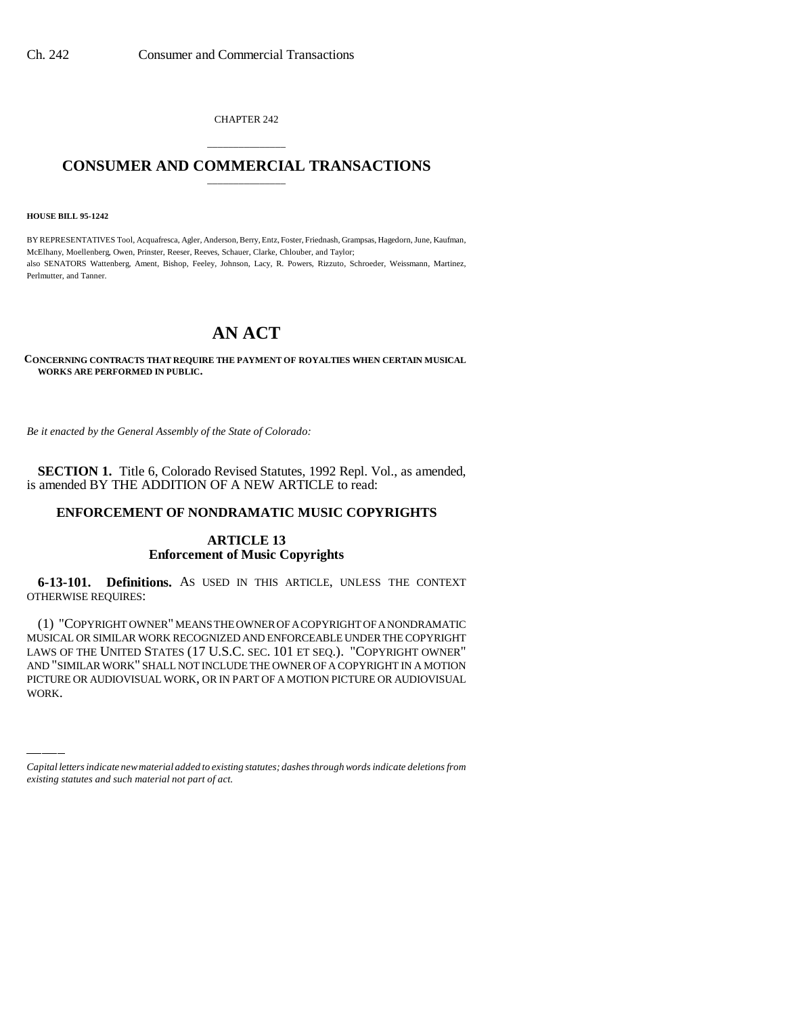CHAPTER 242

## \_\_\_\_\_\_\_\_\_\_\_\_\_\_\_ **CONSUMER AND COMMERCIAL TRANSACTIONS** \_\_\_\_\_\_\_\_\_\_\_\_\_\_\_

**HOUSE BILL 95-1242**

BY REPRESENTATIVES Tool, Acquafresca, Agler, Anderson, Berry, Entz, Foster, Friednash, Grampsas, Hagedorn, June, Kaufman, McElhany, Moellenberg, Owen, Prinster, Reeser, Reeves, Schauer, Clarke, Chlouber, and Taylor; also SENATORS Wattenberg, Ament, Bishop, Feeley, Johnson, Lacy, R. Powers, Rizzuto, Schroeder, Weissmann, Martinez, Perlmutter, and Tanner.

## **AN ACT**

**CONCERNING CONTRACTS THAT REQUIRE THE PAYMENT OF ROYALTIES WHEN CERTAIN MUSICAL WORKS ARE PERFORMED IN PUBLIC.**

*Be it enacted by the General Assembly of the State of Colorado:*

**SECTION 1.** Title 6, Colorado Revised Statutes, 1992 Repl. Vol., as amended, is amended BY THE ADDITION OF A NEW ARTICLE to read:

## **ENFORCEMENT OF NONDRAMATIC MUSIC COPYRIGHTS**

## **ARTICLE 13 Enforcement of Music Copyrights**

**6-13-101. Definitions.** AS USED IN THIS ARTICLE, UNLESS THE CONTEXT OTHERWISE REQUIRES:

LAWS OF THE UNITED STATES (T / U.S.C. SEC. TUT ET SEQ.). COPYRIGHT OWNER<br>AND "SIMILAR WORK" SHALL NOT INCLUDE THE OWNER OF A COPYRIGHT IN A MOTION (1) "COPYRIGHT OWNER" MEANS THE OWNER OF A COPYRIGHT OF A NONDRAMATIC MUSICAL OR SIMILAR WORK RECOGNIZED AND ENFORCEABLE UNDER THE COPYRIGHT LAWS OF THE UNITED STATES (17 U.S.C. SEC. 101 ET SEQ.). "COPYRIGHT OWNER" PICTURE OR AUDIOVISUAL WORK, OR IN PART OF A MOTION PICTURE OR AUDIOVISUAL WORK.

*Capital letters indicate new material added to existing statutes; dashes through words indicate deletions from existing statutes and such material not part of act.*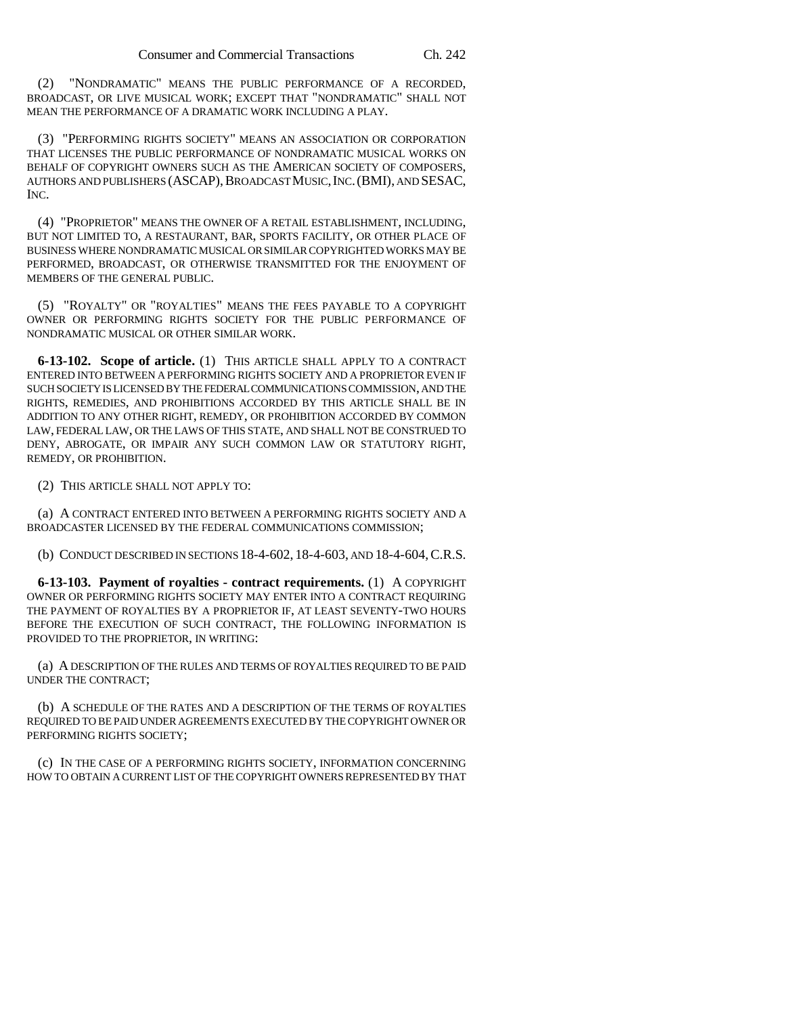(2) "NONDRAMATIC" MEANS THE PUBLIC PERFORMANCE OF A RECORDED, BROADCAST, OR LIVE MUSICAL WORK; EXCEPT THAT "NONDRAMATIC" SHALL NOT MEAN THE PERFORMANCE OF A DRAMATIC WORK INCLUDING A PLAY.

(3) "PERFORMING RIGHTS SOCIETY" MEANS AN ASSOCIATION OR CORPORATION THAT LICENSES THE PUBLIC PERFORMANCE OF NONDRAMATIC MUSICAL WORKS ON BEHALF OF COPYRIGHT OWNERS SUCH AS THE AMERICAN SOCIETY OF COMPOSERS, AUTHORS AND PUBLISHERS (ASCAP),BROADCAST MUSIC,INC.(BMI), AND SESAC, INC.

(4) "PROPRIETOR" MEANS THE OWNER OF A RETAIL ESTABLISHMENT, INCLUDING, BUT NOT LIMITED TO, A RESTAURANT, BAR, SPORTS FACILITY, OR OTHER PLACE OF BUSINESS WHERE NONDRAMATIC MUSICAL OR SIMILAR COPYRIGHTED WORKS MAY BE PERFORMED, BROADCAST, OR OTHERWISE TRANSMITTED FOR THE ENJOYMENT OF MEMBERS OF THE GENERAL PUBLIC.

(5) "ROYALTY" OR "ROYALTIES" MEANS THE FEES PAYABLE TO A COPYRIGHT OWNER OR PERFORMING RIGHTS SOCIETY FOR THE PUBLIC PERFORMANCE OF NONDRAMATIC MUSICAL OR OTHER SIMILAR WORK.

**6-13-102. Scope of article.** (1) THIS ARTICLE SHALL APPLY TO A CONTRACT ENTERED INTO BETWEEN A PERFORMING RIGHTS SOCIETY AND A PROPRIETOR EVEN IF SUCH SOCIETY IS LICENSED BY THE FEDERAL COMMUNICATIONS COMMISSION, AND THE RIGHTS, REMEDIES, AND PROHIBITIONS ACCORDED BY THIS ARTICLE SHALL BE IN ADDITION TO ANY OTHER RIGHT, REMEDY, OR PROHIBITION ACCORDED BY COMMON LAW, FEDERAL LAW, OR THE LAWS OF THIS STATE, AND SHALL NOT BE CONSTRUED TO DENY, ABROGATE, OR IMPAIR ANY SUCH COMMON LAW OR STATUTORY RIGHT, REMEDY, OR PROHIBITION.

(2) THIS ARTICLE SHALL NOT APPLY TO:

(a) A CONTRACT ENTERED INTO BETWEEN A PERFORMING RIGHTS SOCIETY AND A BROADCASTER LICENSED BY THE FEDERAL COMMUNICATIONS COMMISSION;

(b) CONDUCT DESCRIBED IN SECTIONS 18-4-602, 18-4-603, AND 18-4-604,C.R.S.

**6-13-103. Payment of royalties - contract requirements.** (1) A COPYRIGHT OWNER OR PERFORMING RIGHTS SOCIETY MAY ENTER INTO A CONTRACT REQUIRING THE PAYMENT OF ROYALTIES BY A PROPRIETOR IF, AT LEAST SEVENTY-TWO HOURS BEFORE THE EXECUTION OF SUCH CONTRACT, THE FOLLOWING INFORMATION IS PROVIDED TO THE PROPRIETOR, IN WRITING:

(a) A DESCRIPTION OF THE RULES AND TERMS OF ROYALTIES REQUIRED TO BE PAID UNDER THE CONTRACT;

(b) A SCHEDULE OF THE RATES AND A DESCRIPTION OF THE TERMS OF ROYALTIES REQUIRED TO BE PAID UNDER AGREEMENTS EXECUTED BY THE COPYRIGHT OWNER OR PERFORMING RIGHTS SOCIETY;

(c) IN THE CASE OF A PERFORMING RIGHTS SOCIETY, INFORMATION CONCERNING HOW TO OBTAIN A CURRENT LIST OF THE COPYRIGHT OWNERS REPRESENTED BY THAT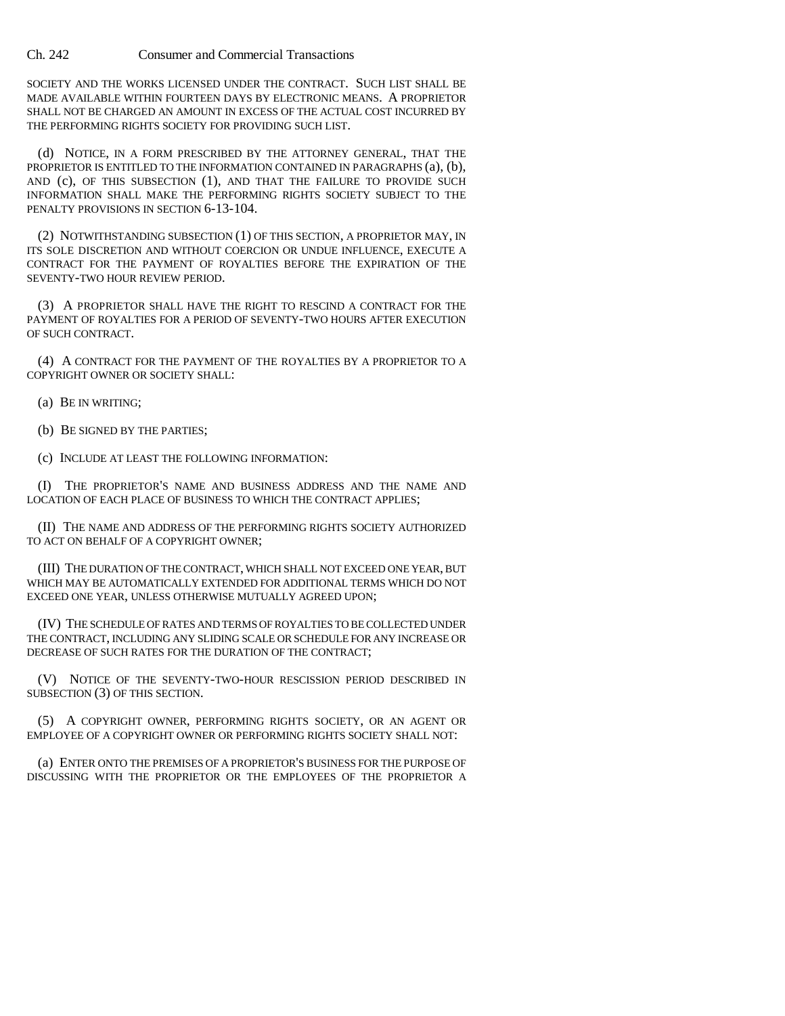Ch. 242 Consumer and Commercial Transactions

SOCIETY AND THE WORKS LICENSED UNDER THE CONTRACT. SUCH LIST SHALL BE MADE AVAILABLE WITHIN FOURTEEN DAYS BY ELECTRONIC MEANS. A PROPRIETOR SHALL NOT BE CHARGED AN AMOUNT IN EXCESS OF THE ACTUAL COST INCURRED BY THE PERFORMING RIGHTS SOCIETY FOR PROVIDING SUCH LIST.

(d) NOTICE, IN A FORM PRESCRIBED BY THE ATTORNEY GENERAL, THAT THE PROPRIETOR IS ENTITLED TO THE INFORMATION CONTAINED IN PARAGRAPHS (a), (b), AND (c), OF THIS SUBSECTION (1), AND THAT THE FAILURE TO PROVIDE SUCH INFORMATION SHALL MAKE THE PERFORMING RIGHTS SOCIETY SUBJECT TO THE PENALTY PROVISIONS IN SECTION 6-13-104.

(2) NOTWITHSTANDING SUBSECTION (1) OF THIS SECTION, A PROPRIETOR MAY, IN ITS SOLE DISCRETION AND WITHOUT COERCION OR UNDUE INFLUENCE, EXECUTE A CONTRACT FOR THE PAYMENT OF ROYALTIES BEFORE THE EXPIRATION OF THE SEVENTY-TWO HOUR REVIEW PERIOD.

(3) A PROPRIETOR SHALL HAVE THE RIGHT TO RESCIND A CONTRACT FOR THE PAYMENT OF ROYALTIES FOR A PERIOD OF SEVENTY-TWO HOURS AFTER EXECUTION OF SUCH CONTRACT.

(4) A CONTRACT FOR THE PAYMENT OF THE ROYALTIES BY A PROPRIETOR TO A COPYRIGHT OWNER OR SOCIETY SHALL:

(a) BE IN WRITING;

(b) BE SIGNED BY THE PARTIES;

(c) INCLUDE AT LEAST THE FOLLOWING INFORMATION:

(I) THE PROPRIETOR'S NAME AND BUSINESS ADDRESS AND THE NAME AND LOCATION OF EACH PLACE OF BUSINESS TO WHICH THE CONTRACT APPLIES;

(II) THE NAME AND ADDRESS OF THE PERFORMING RIGHTS SOCIETY AUTHORIZED TO ACT ON BEHALF OF A COPYRIGHT OWNER;

(III) THE DURATION OF THE CONTRACT, WHICH SHALL NOT EXCEED ONE YEAR, BUT WHICH MAY BE AUTOMATICALLY EXTENDED FOR ADDITIONAL TERMS WHICH DO NOT EXCEED ONE YEAR, UNLESS OTHERWISE MUTUALLY AGREED UPON;

(IV) THE SCHEDULE OF RATES AND TERMS OF ROYALTIES TO BE COLLECTED UNDER THE CONTRACT, INCLUDING ANY SLIDING SCALE OR SCHEDULE FOR ANY INCREASE OR DECREASE OF SUCH RATES FOR THE DURATION OF THE CONTRACT;

(V) NOTICE OF THE SEVENTY-TWO-HOUR RESCISSION PERIOD DESCRIBED IN SUBSECTION (3) OF THIS SECTION.

(5) A COPYRIGHT OWNER, PERFORMING RIGHTS SOCIETY, OR AN AGENT OR EMPLOYEE OF A COPYRIGHT OWNER OR PERFORMING RIGHTS SOCIETY SHALL NOT:

(a) ENTER ONTO THE PREMISES OF A PROPRIETOR'S BUSINESS FOR THE PURPOSE OF DISCUSSING WITH THE PROPRIETOR OR THE EMPLOYEES OF THE PROPRIETOR A